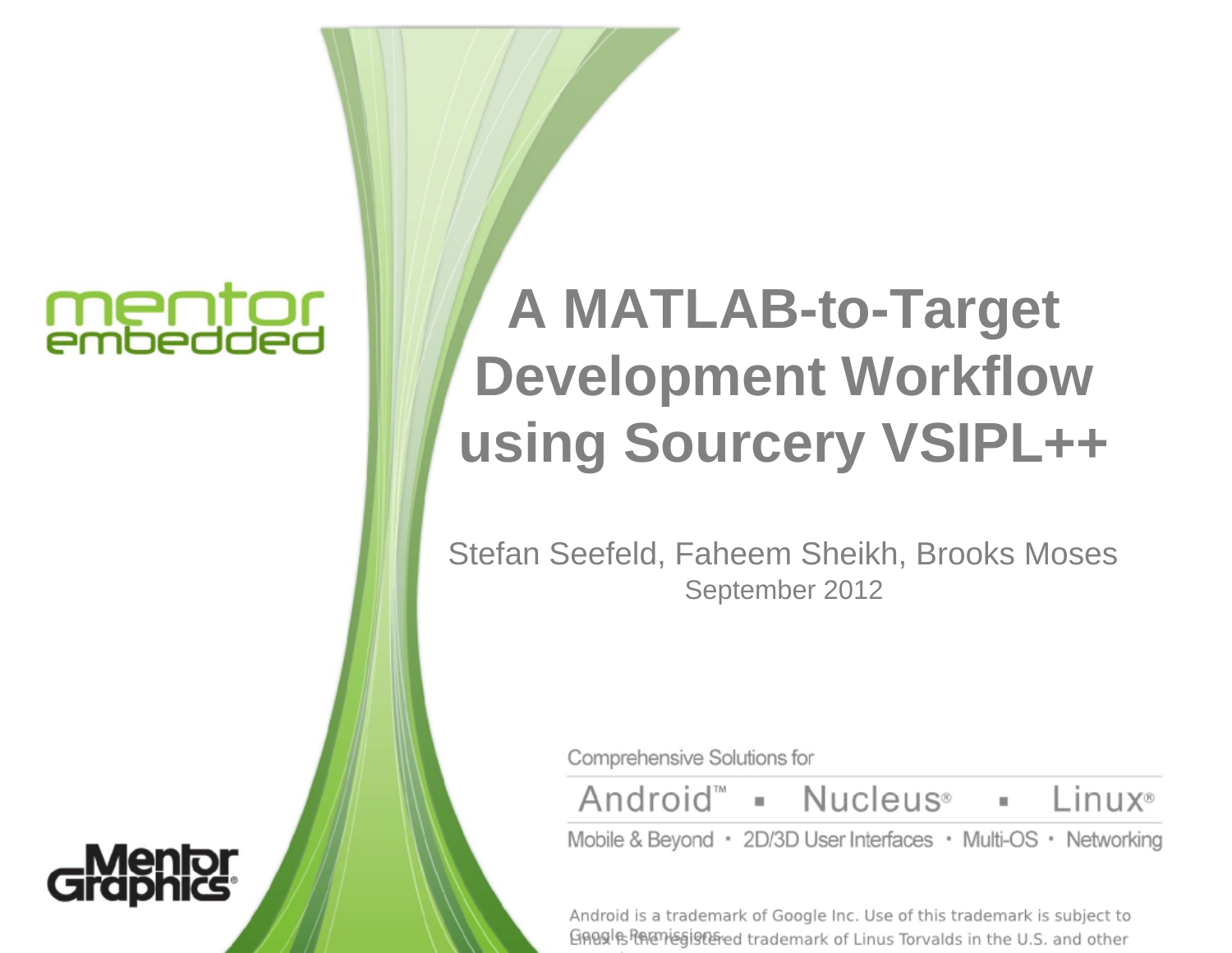# mentor<br>embedded

## **A MATLAB-to-Target Development Workflow using Sourcery VSIPL++**

Stefan Seefeld, Faheem Sheikh, Brooks Moses September 2012

Comprehensive Solutions for

Android<sup>®</sup> • Nucleus<sup>®</sup> Linux®

Mobile & Beyond · 2D/3D User Interfaces · Multi-OS · Networking

Android is a trademark of Google Inc. Use of this trademark is subject to GABS In the U.S. and other hademark of Linus Torvalds in the U.S. and other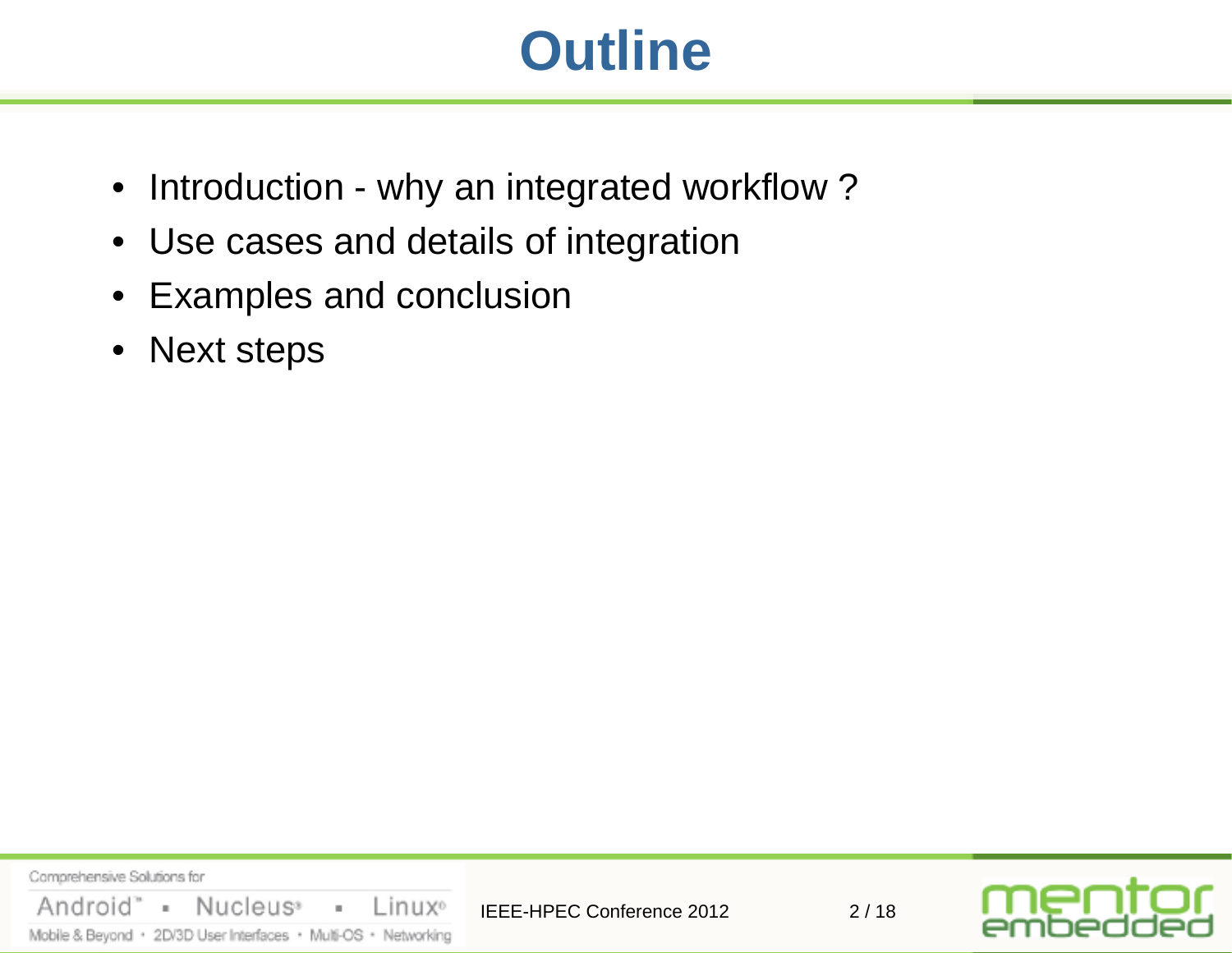## **Outline**

- Introduction why an integrated workflow?
- Use cases and details of integration
- Examples and conclusion
- Next steps

Comprehensive Solutions for Nucleus<sup>®</sup> Linux<sup>o</sup> Android" =  $\bar{a}$ IEEE-HPEC Conference 2012 2/18 Mobile & Beyond · 2D/3D User Interfaces · Multi-OS · Networking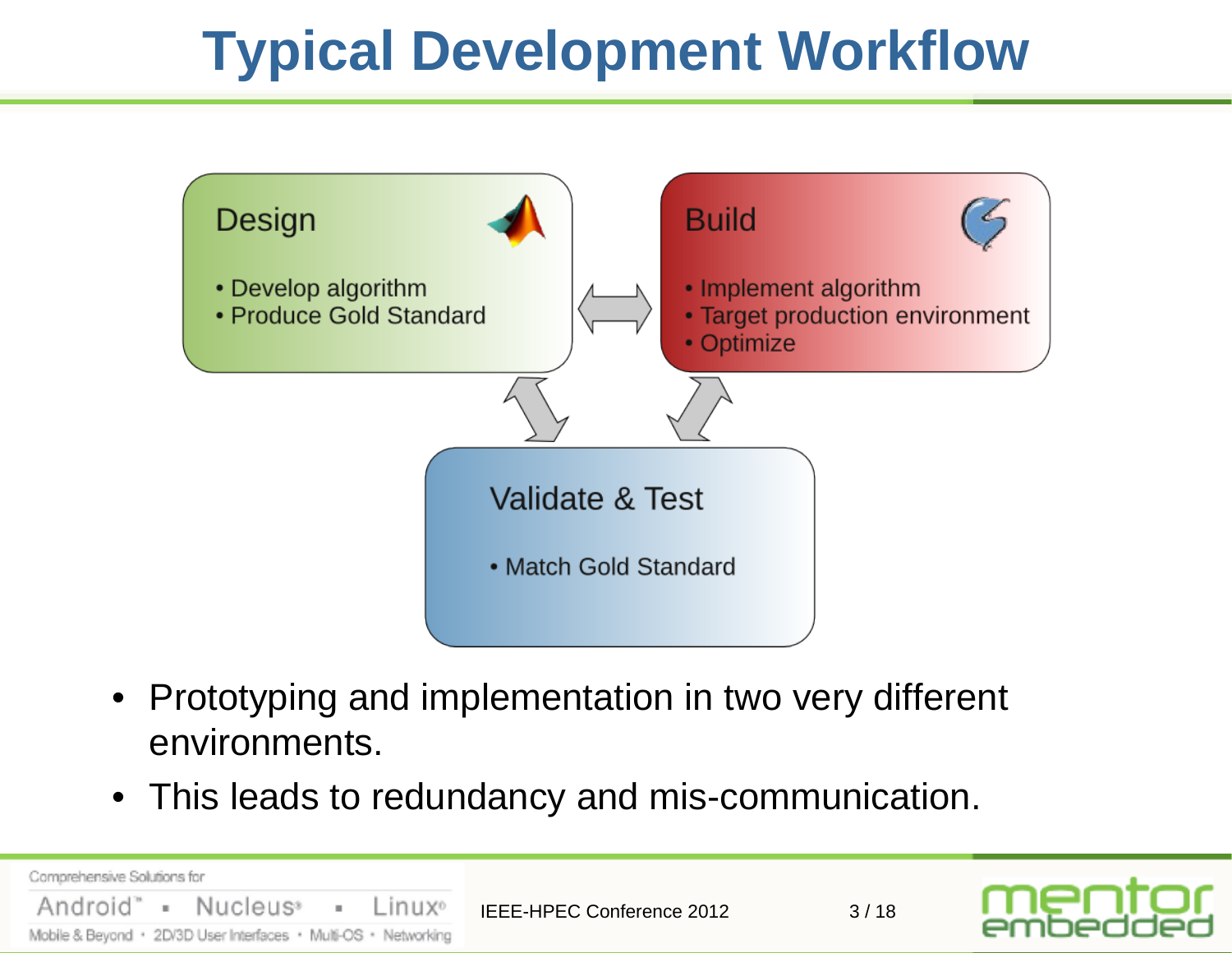# **Typical Development Workflow**



- Prototyping and implementation in two very different environments.
- This leads to redundancy and mis-communication.

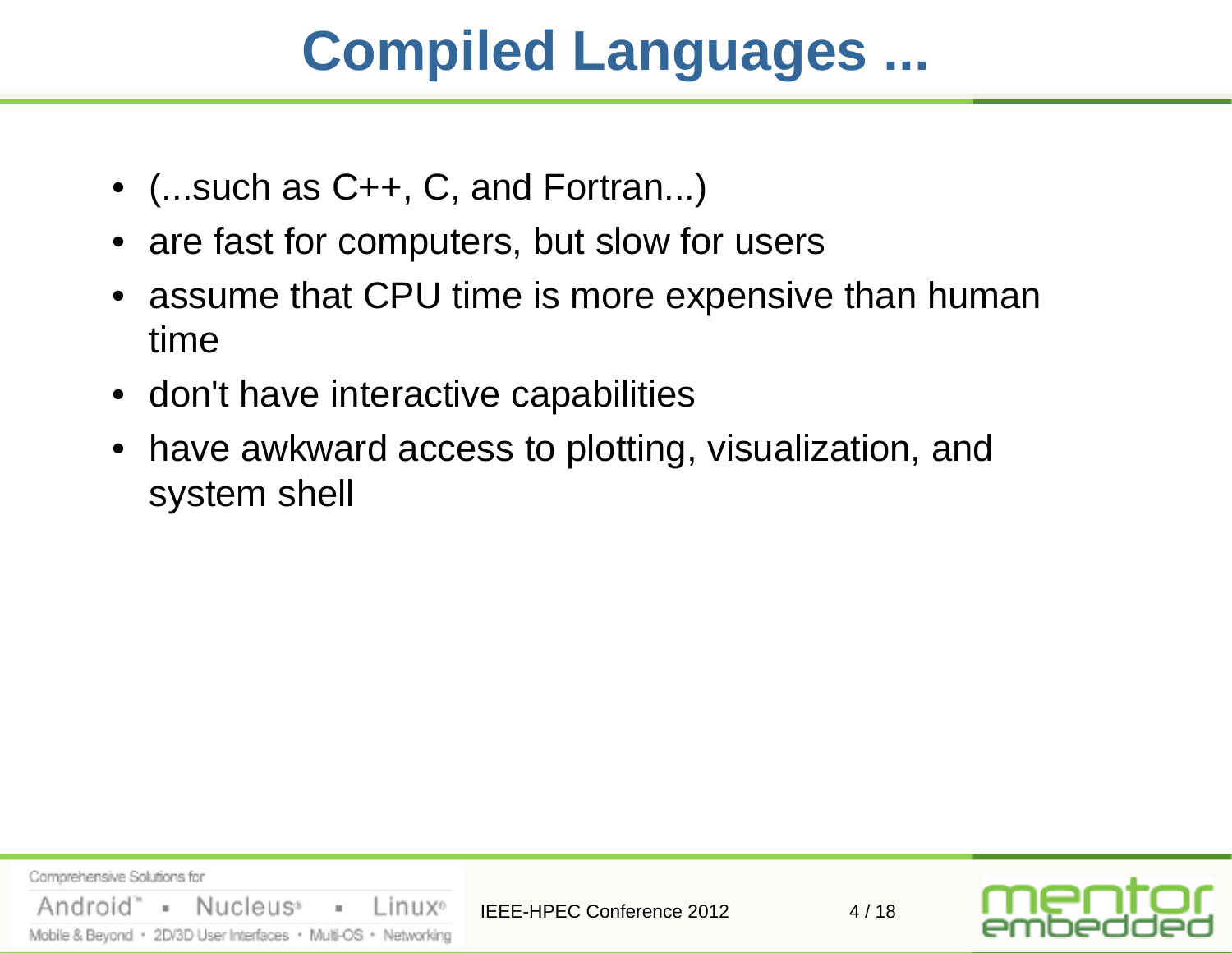## **Compiled Languages ...**

- (...such as C++, C, and Fortran...)
- are fast for computers, but slow for users
- assume that CPU time is more expensive than human time
- don't have interactive capabilities
- have awkward access to plotting, visualization, and system shell

Comprehensive Solutions for Android" Nucleus<sup>®</sup>  $\mathbb{R}^n$  $\bar{a}$ Linux<sup>o</sup> IEEE-HPEC Conference 2012 4/18 Mobile & Beyond · 2D/3D User Interfaces · Multi-OS · Networking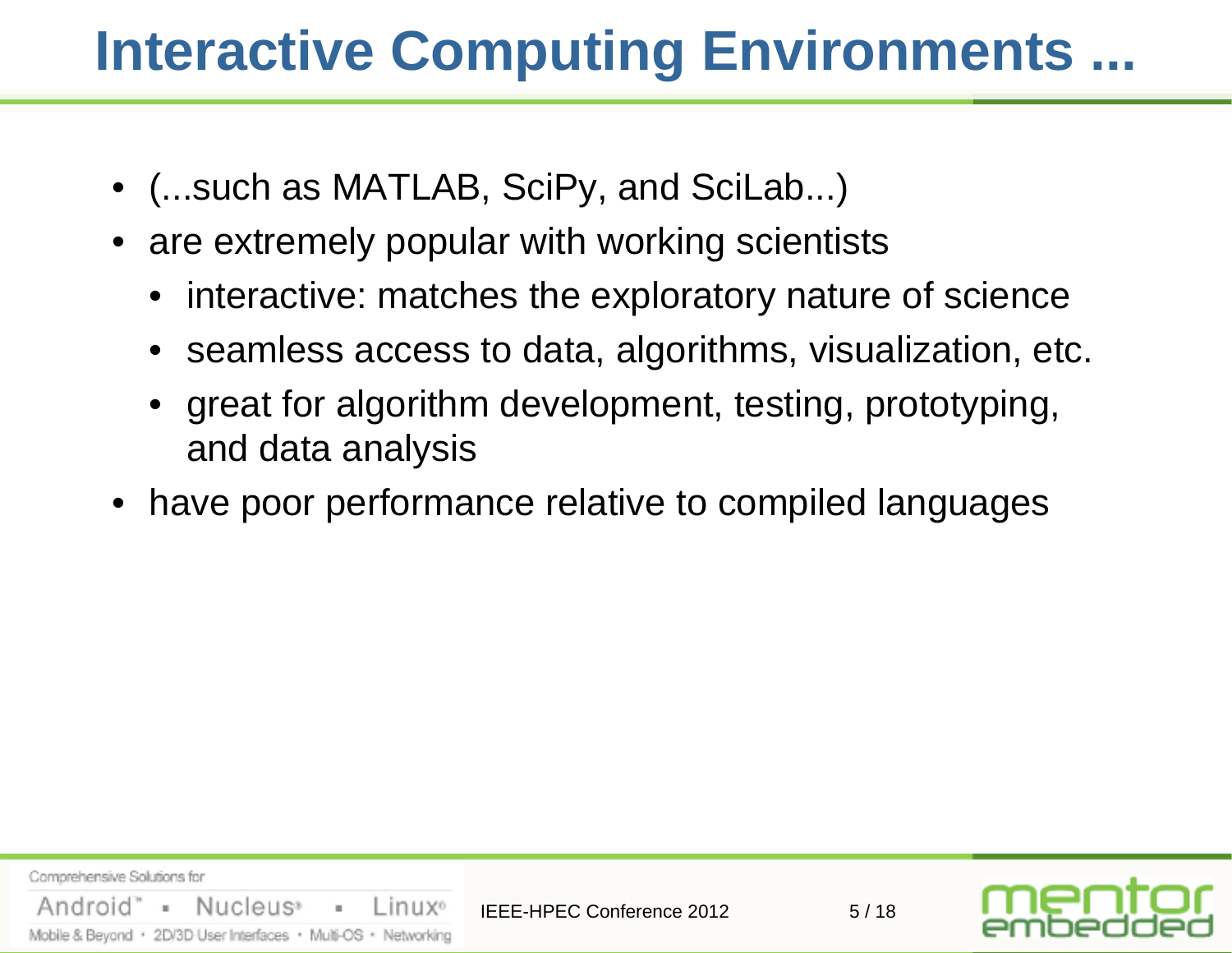## **Interactive Computing Environments ...**

- (...such as MATLAB, SciPy, and SciLab...)
- are extremely popular with working scientists
	- interactive: matches the exploratory nature of science
	- seamless access to data, algorithms, visualization, etc.
	- great for algorithm development, testing, prototyping, and data analysis
- have poor performance relative to compiled languages

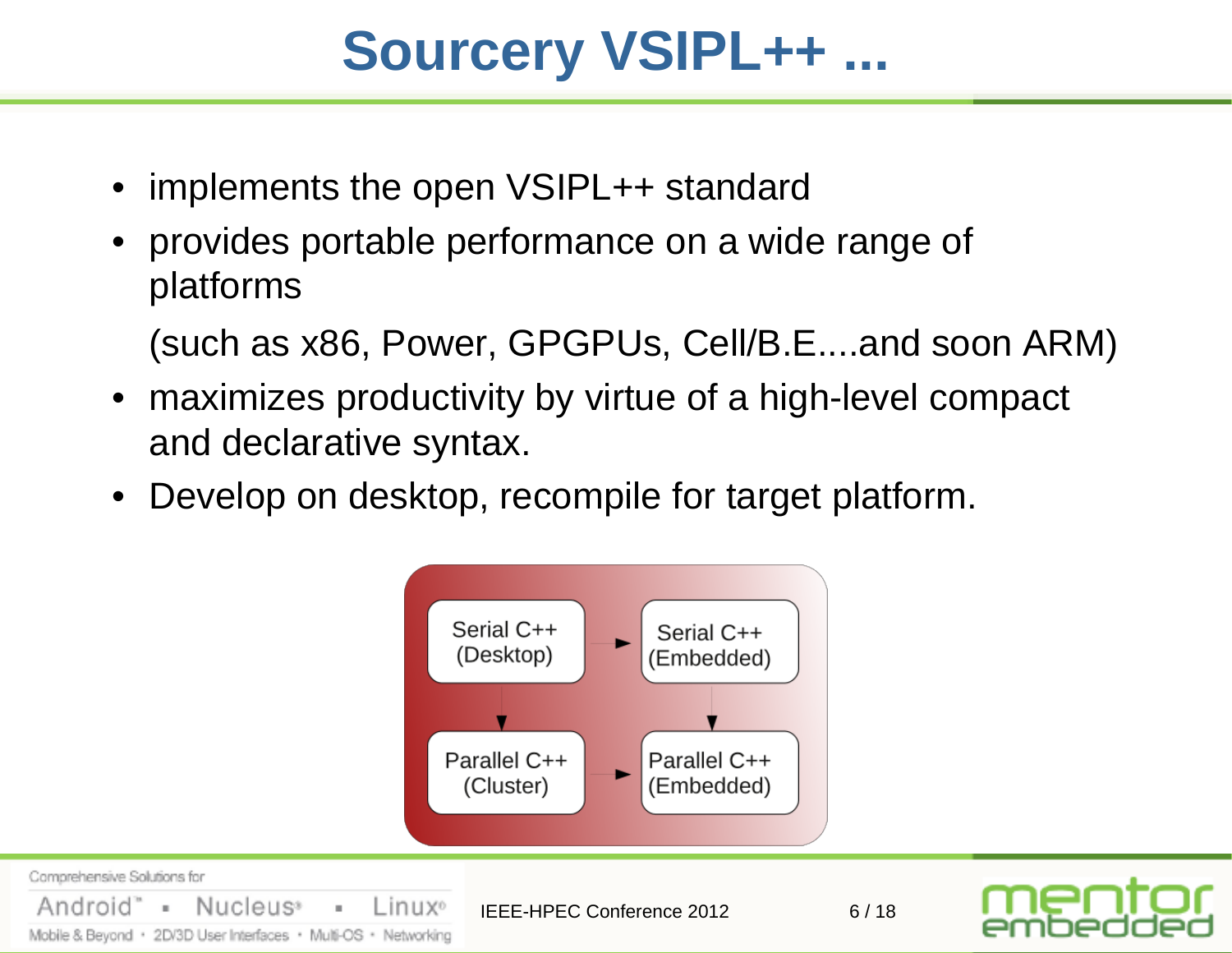## **Sourcery VSIPL++ ...**

- implements the open VSIPL++ standard
- provides portable performance on a wide range of platforms

(such as x86, Power, GPGPUs, Cell/B.E....and soon ARM)

- maximizes productivity by virtue of a high-level compact and declarative syntax.
- Develop on desktop, recompile for target platform.

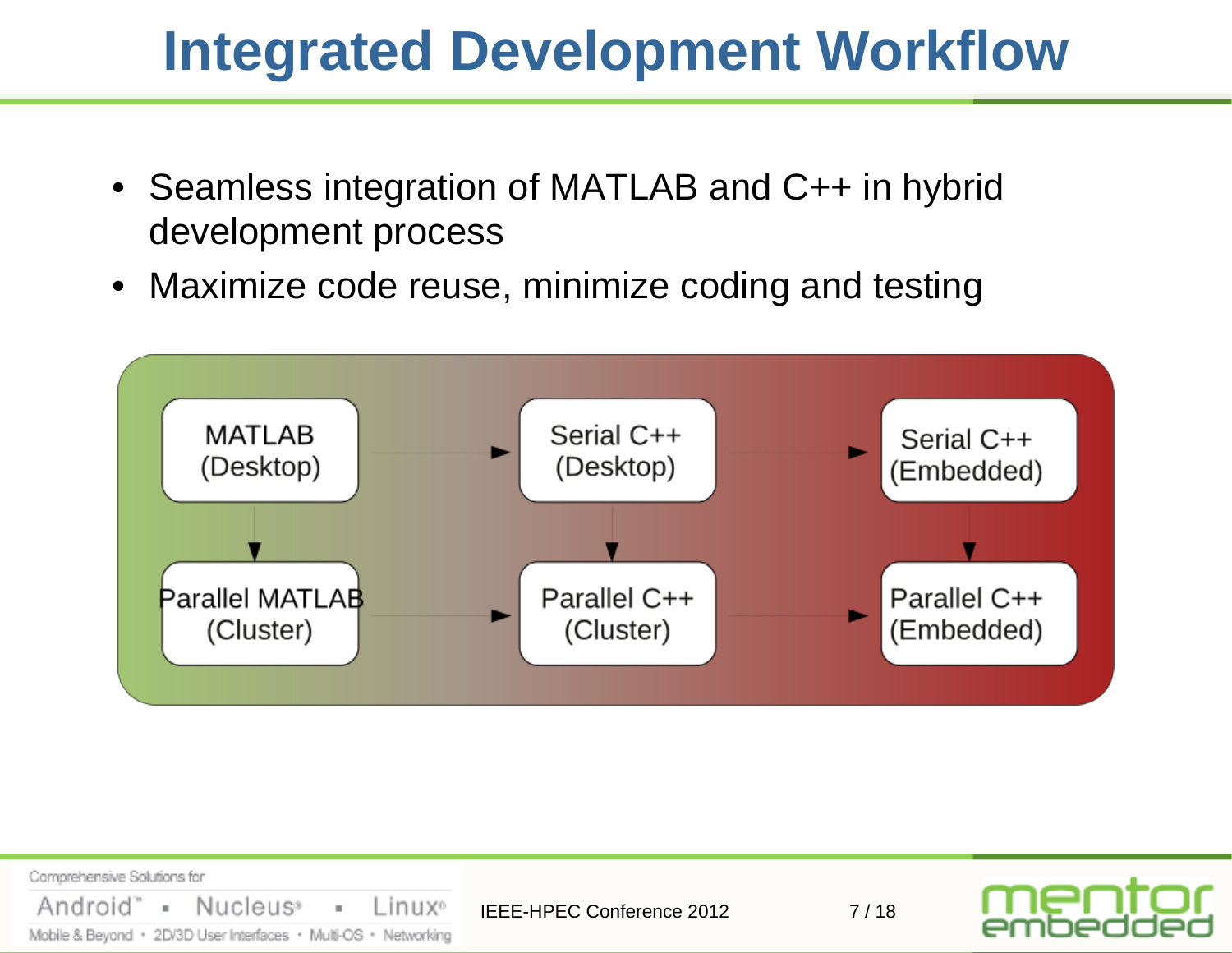#### **Integrated Development Workflow**

- Seamless integration of MATLAB and C++ in hybrid development process
- Maximize code reuse, minimize coding and testing



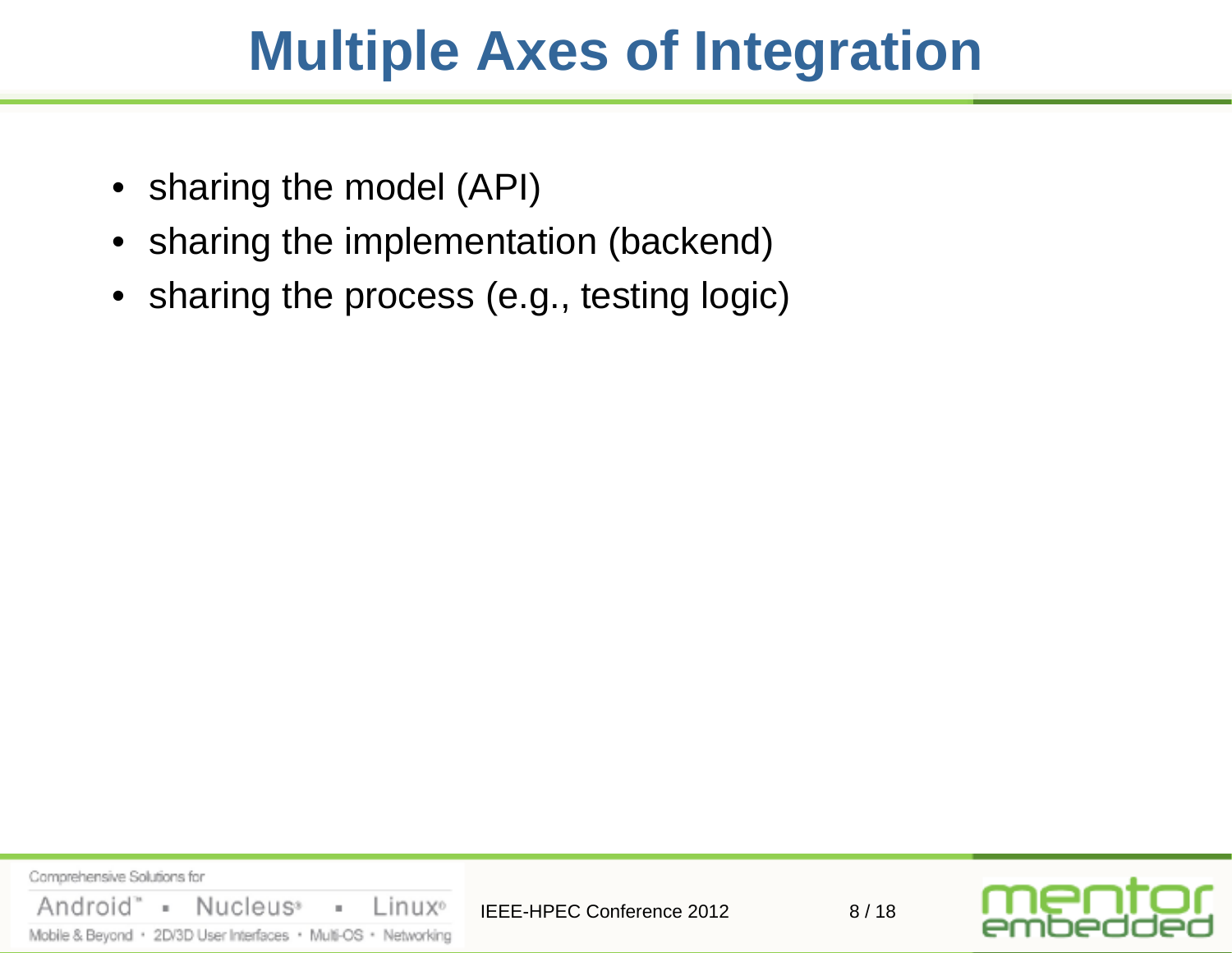### **Multiple Axes of Integration**

- sharing the model (API)
- sharing the implementation (backend)
- sharing the process (e.g., testing logic)

Comprehensive Solutions for Nucleus<sup>®</sup> Android" Linux<sup>o</sup>  $\mathbb{R}^+$  $\bar{a}$ IEEE-HPEC Conference 2012 8/18 Mobile & Beyond · 2D/3D User Interfaces · Multi-OS · Networking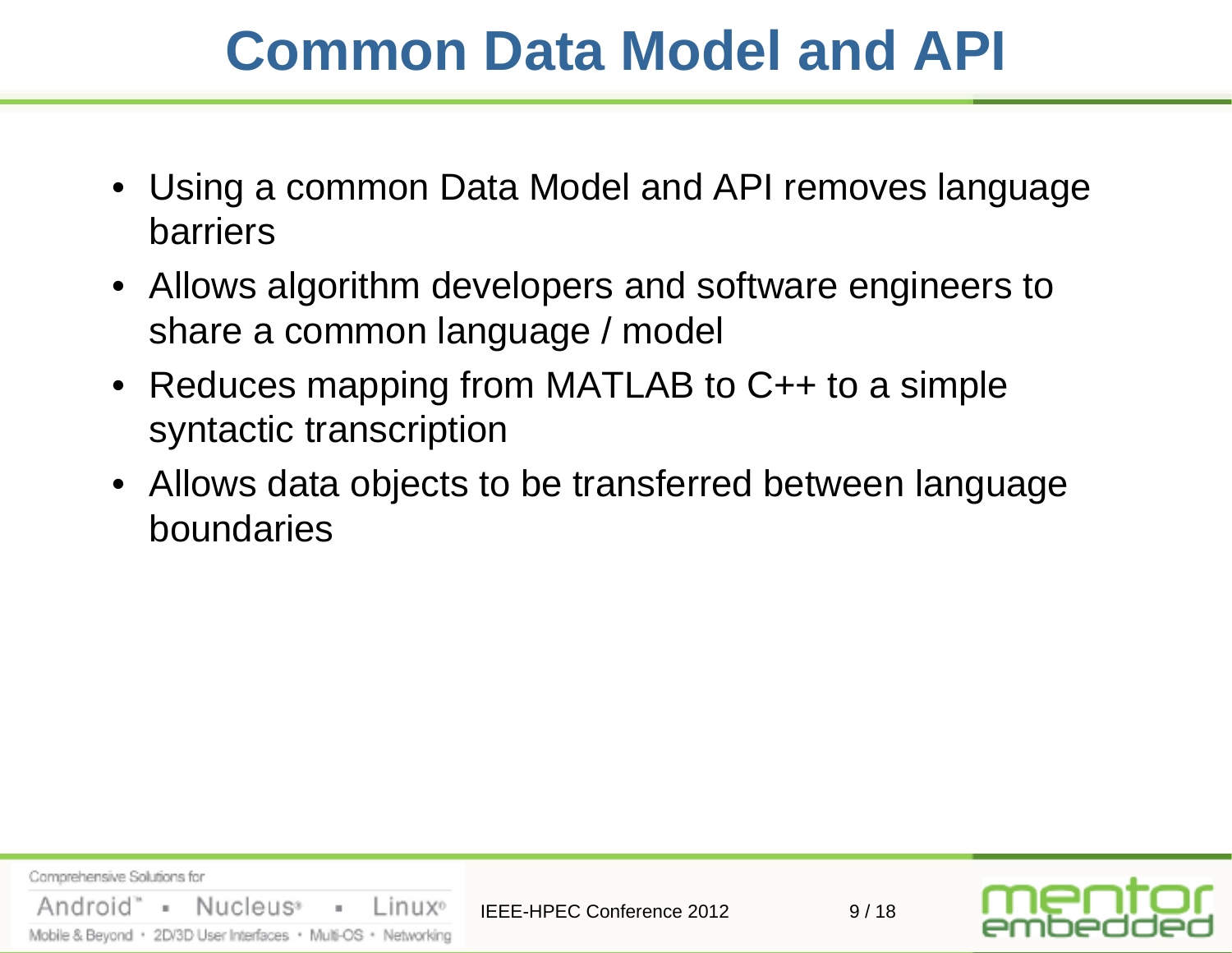## **Common Data Model and API**

- Using a common Data Model and API removes language barriers
- Allows algorithm developers and software engineers to share a common language / model
- Reduces mapping from MATLAB to C++ to a simple syntactic transcription
- Allows data objects to be transferred between language boundaries

Comprehensive Solutions for Android" = Nucleus<sup>®</sup>  $\sim 100$ Linux<sup>o</sup> IFFF-HPFC Conference 2012 9/18 Mobile & Beyond · 2D/3D User Interfaces · Multi-OS · Networking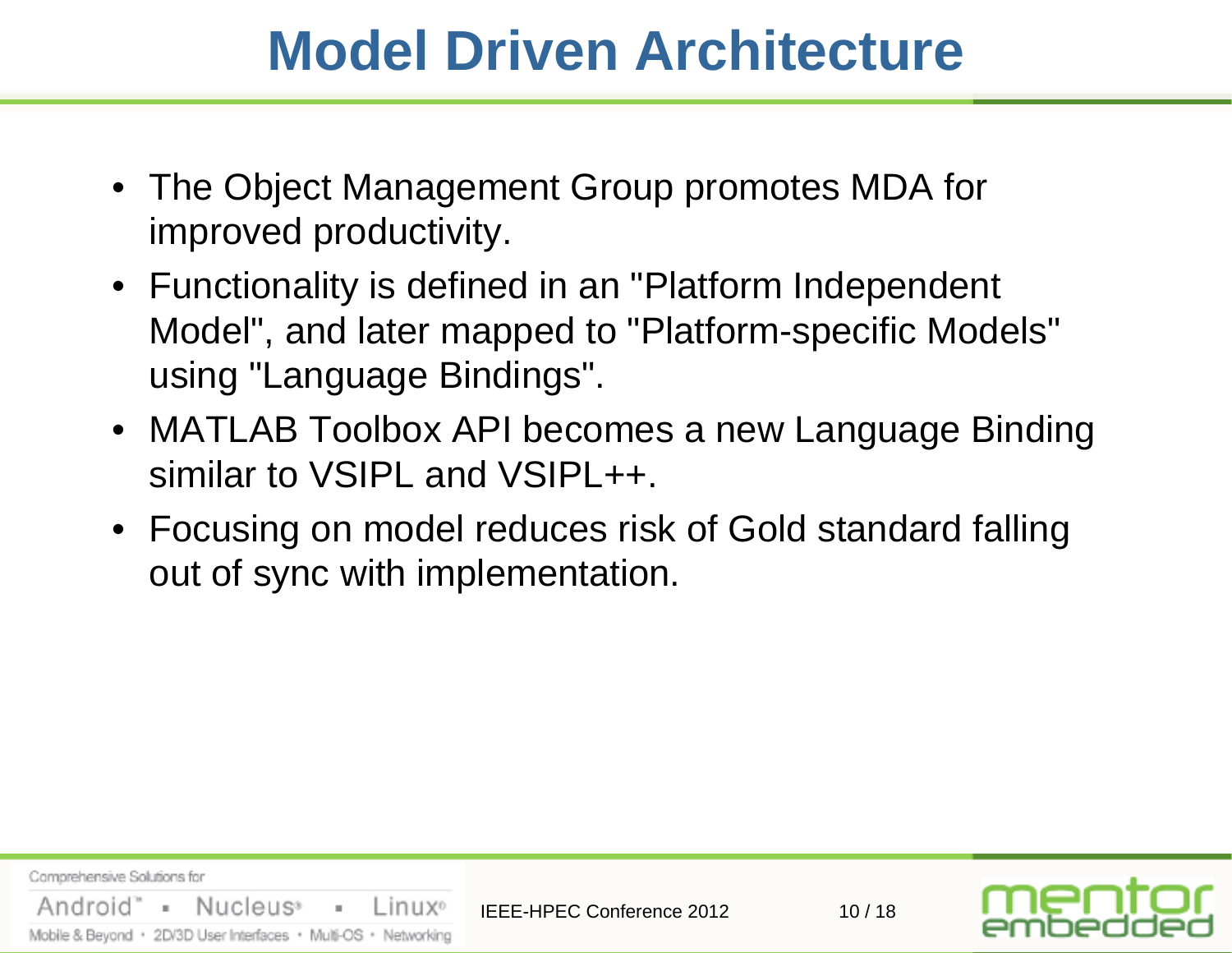#### **Model Driven Architecture**

- The Object Management Group promotes MDA for improved productivity.
- Functionality is defined in an "Platform Independent Model", and later mapped to "Platform-specific Models" using "Language Bindings".
- MATLAB Toolbox API becomes a new Language Binding similar to VSIPL and VSIPL++.
- Focusing on model reduces risk of Gold standard falling out of sync with implementation.

| Comprehensive Solutions for                                     | <b>IEEE-HPEC Conference 2012</b> | 10/18 | mentor<br>embedded |
|-----------------------------------------------------------------|----------------------------------|-------|--------------------|
| Android" - Nucleus <sup>,</sup> - Linux <sup>®</sup>            |                                  |       |                    |
| Mobile & Beyond · 2D/3D User Interfaces · Multi-OS · Networking |                                  |       |                    |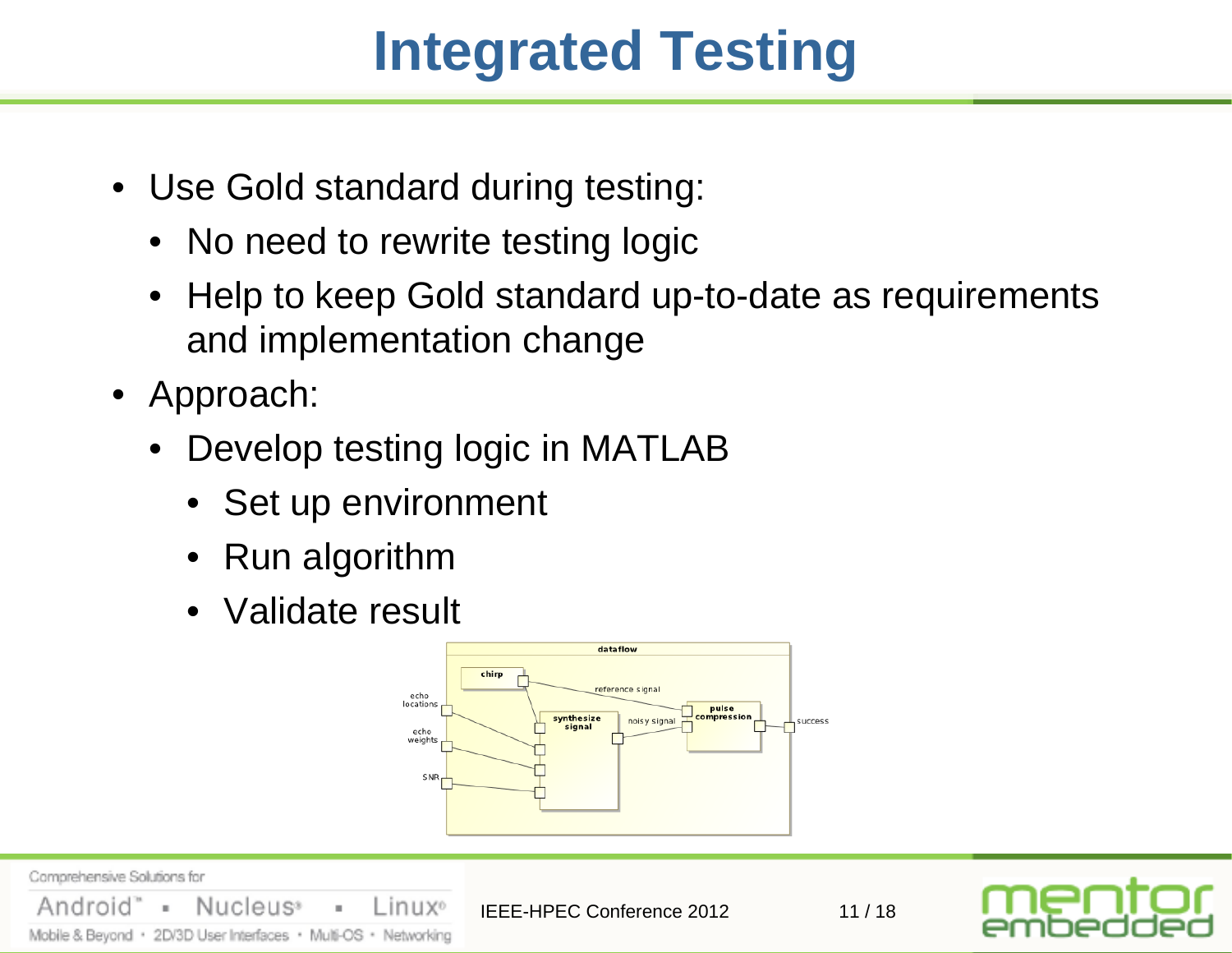## **Integrated Testing**

- Use Gold standard during testing:
	- No need to rewrite testing logic
	- Help to keep Gold standard up-to-date as requirements and implementation change
- Approach:

Nucleus<sup>®</sup>

Mobile & Beyond · 2D/3D User Interfaces · Multi-OS · Networking

Comprehensive Solutions for

Android

• Develop testing logic in MATLAB

Linux<sup>o</sup>

×.

- Set up environment
- Run algorithm
- Validate result



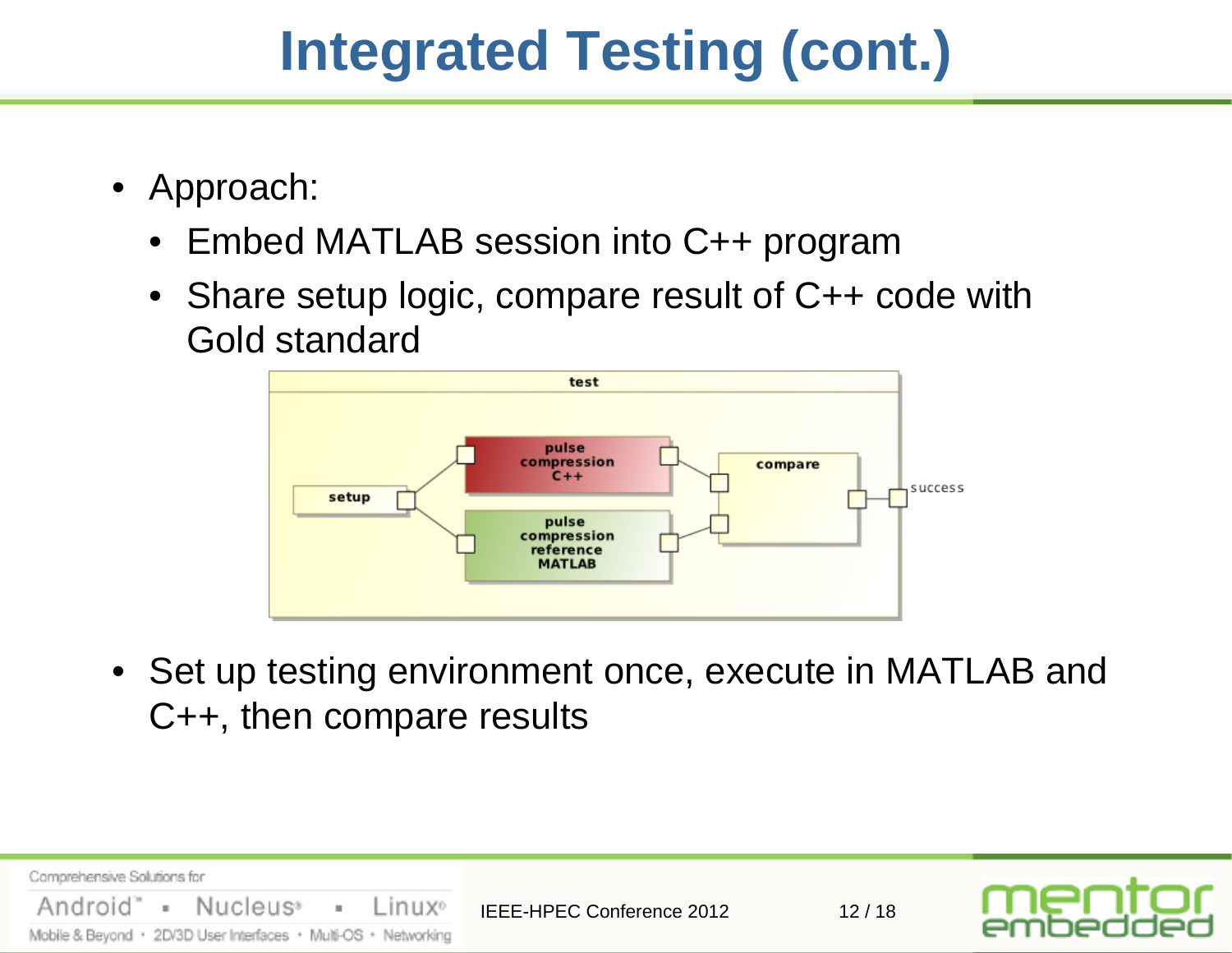## **Integrated Testing (cont.)**

- Approach:
	- Embed MATLAB session into C++ program
	- Share setup logic, compare result of C++ code with Gold standard



• Set up testing environment once, execute in MATLAB and C++, then compare results

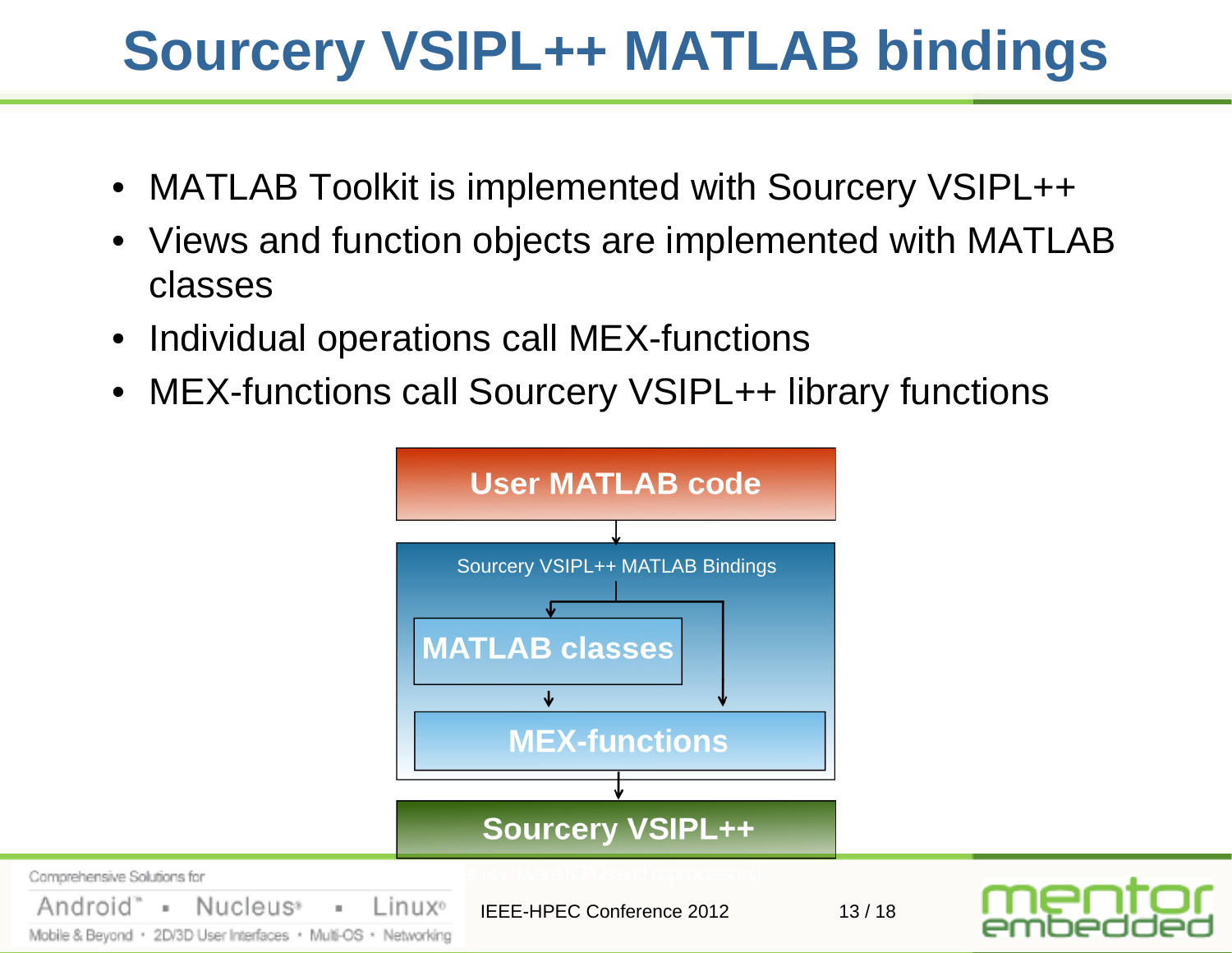# **Sourcery VSIPL++ MATLAB bindings**

- MATLAB Toolkit is implemented with Sourcery VSIPL++
- Views and function objects are implemented with MATLAB classes
- Individual operations call MEX-functions
- MEX-functions call Sourcery VSIPL++ library functions

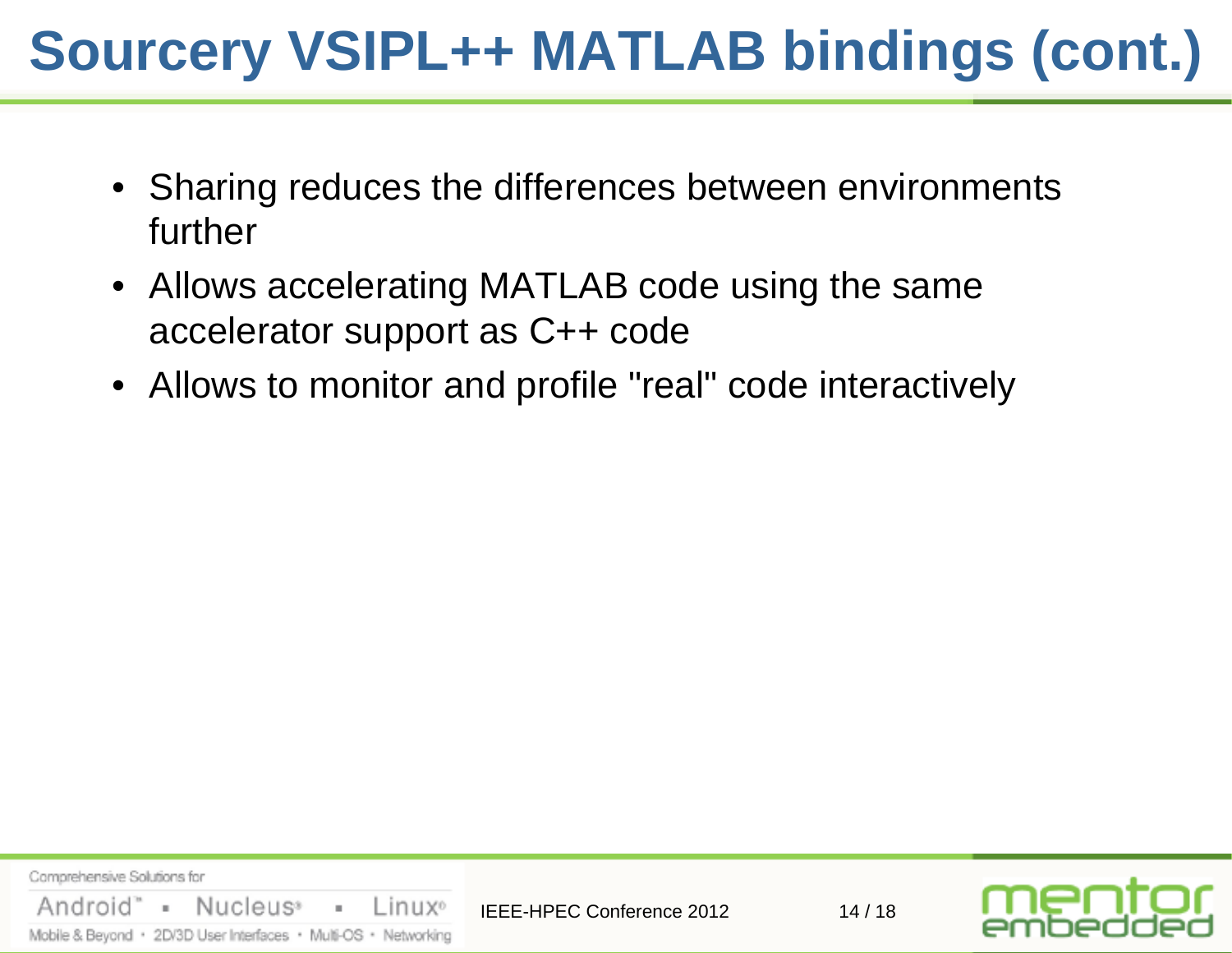# **Sourcery VSIPL++ MATLAB bindings (cont.)**

- Sharing reduces the differences between environments further
- Allows accelerating MATLAB code using the same accelerator support as C++ code
- Allows to monitor and profile "real" code interactively

Comprehensive Solutions for "Android - Nucleus<sup>®</sup> Linux<sup>o</sup>  $\pm$ IEEE-HPEC Conference 2012 14 / 18 Mobile & Beyond · 2D/3D User Interfaces · Multi-OS · Networking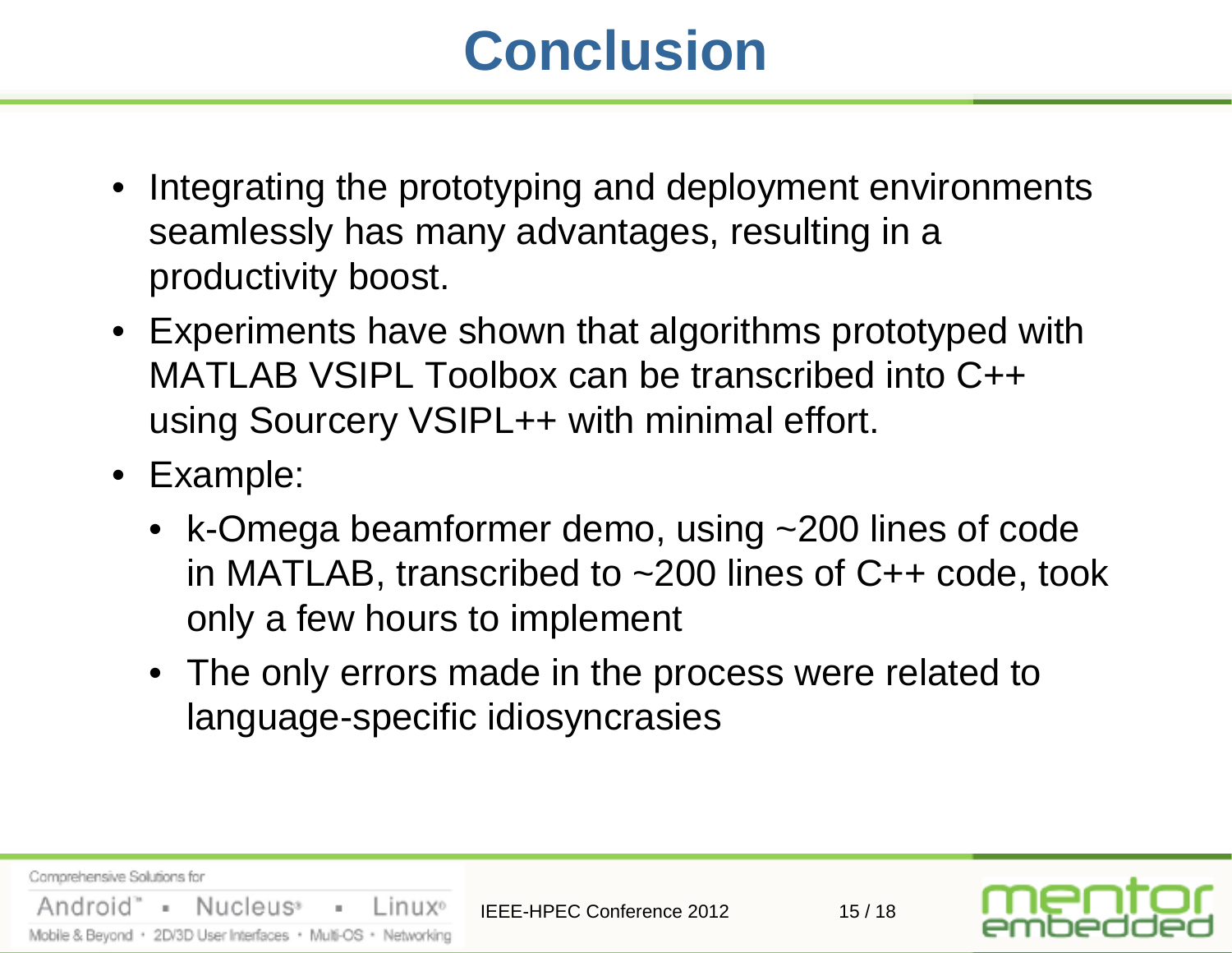## **Conclusion**

- Integrating the prototyping and deployment environments seamlessly has many advantages, resulting in a productivity boost.
- Experiments have shown that algorithms prototyped with MATLAB VSIPL Toolbox can be transcribed into C++ using Sourcery VSIPL++ with minimal effort.
- Example:
	- k-Omega beamformer demo, using ~200 lines of code in MATLAB, transcribed to ~200 lines of C++ code, took only a few hours to implement
	- The only errors made in the process were related to language-specific idiosyncrasies

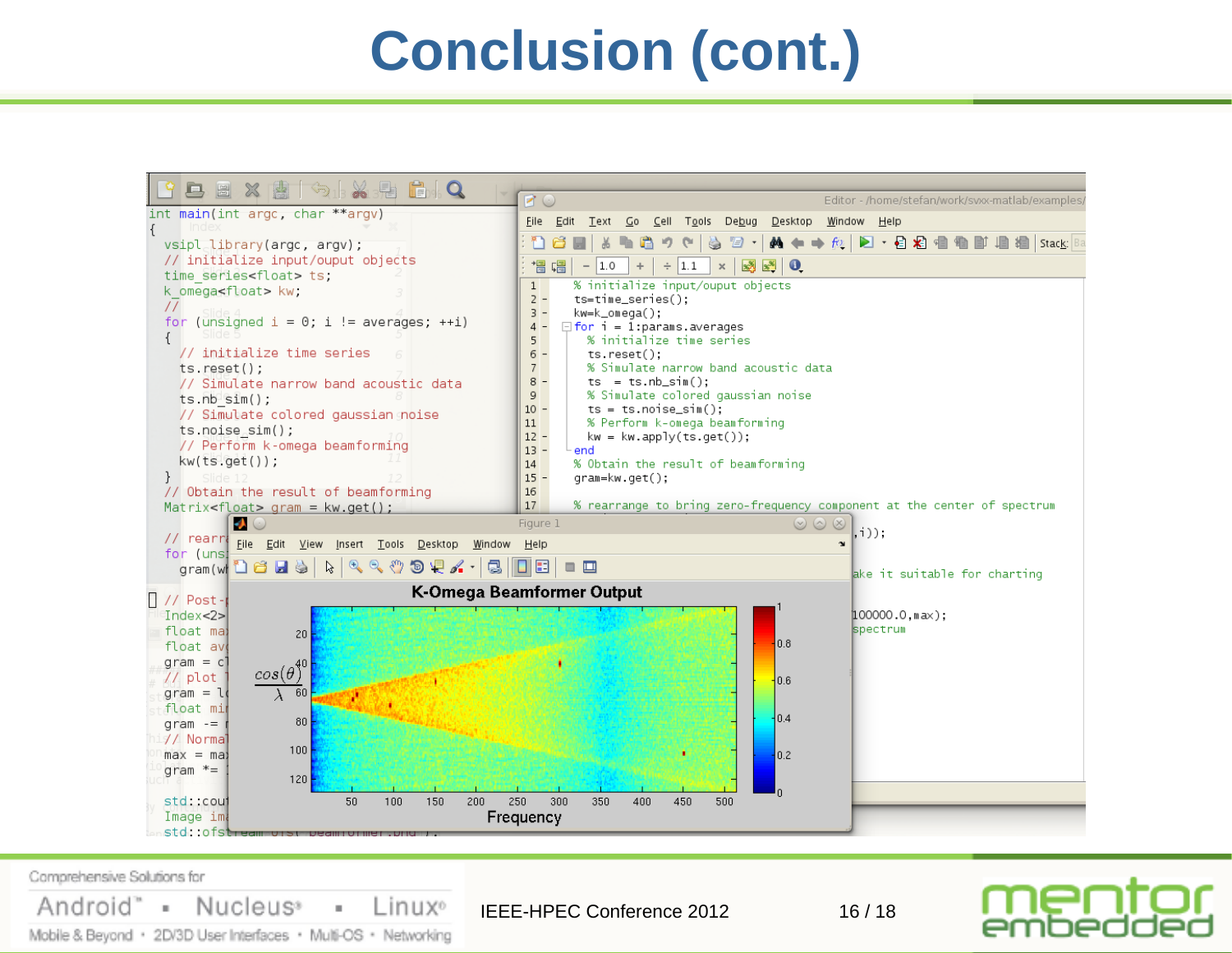### **Conclusion (cont.)**



Comprehensive Solutions for

Android" = Nucleus<sup>®</sup>

Linux<sup>o</sup> ×. IEEE-HPEC Conference 2012 16 / 18Mobile & Beyond · 2D/3D User Interfaces · Multi-OS · Networking

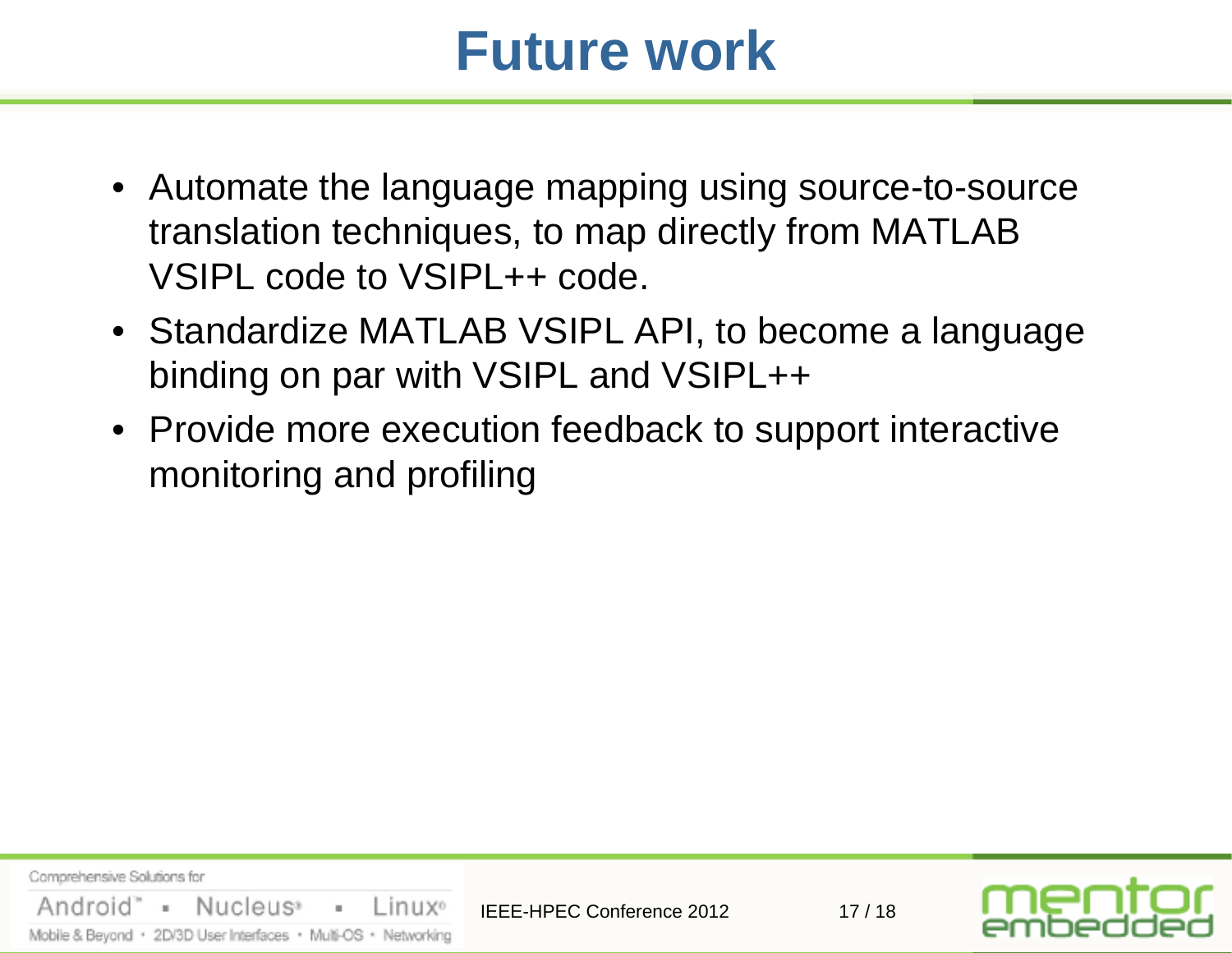#### **Future work**

- Automate the language mapping using source-to-source translation techniques, to map directly from MATLAB VSIPL code to VSIPL++ code.
- Standardize MATLAB VSIPL API, to become a language binding on par with VSIPL and VSIPL++
- Provide more execution feedback to support interactive monitoring and profiling

Comprehensive Solutions for Android" = Nucleus® Linux<sup>o</sup> a con IEEE-HPEC Conference 2012 17 / 18 Mobile & Beyond · 2D/3D User Interfaces · Multi-OS · Networking